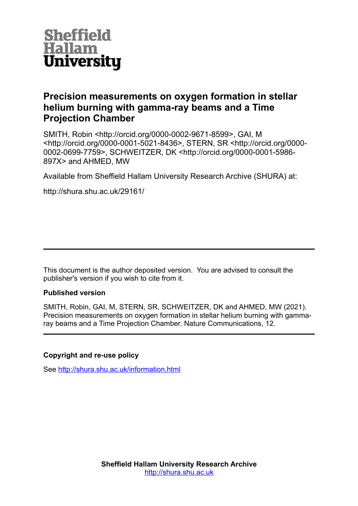

## **Precision measurements on oxygen formation in stellar helium burning with gamma-ray beams and a Time Projection Chamber**

SMITH, Robin <http://orcid.org/0000-0002-9671-8599>, GAI, M <http://orcid.org/0000-0001-5021-8436>, STERN, SR <http://orcid.org/0000- 0002-0699-7759>, SCHWEITZER, DK <http://orcid.org/0000-0001-5986- 897X> and AHMED, MW

Available from Sheffield Hallam University Research Archive (SHURA) at:

http://shura.shu.ac.uk/29161/

This document is the author deposited version. You are advised to consult the publisher's version if you wish to cite from it.

## **Published version**

SMITH, Robin, GAI, M, STERN, SR, SCHWEITZER, DK and AHMED, MW (2021). Precision measurements on oxygen formation in stellar helium burning with gammaray beams and a Time Projection Chamber. Nature Communications, 12.

## **Copyright and re-use policy**

See<http://shura.shu.ac.uk/information.html>